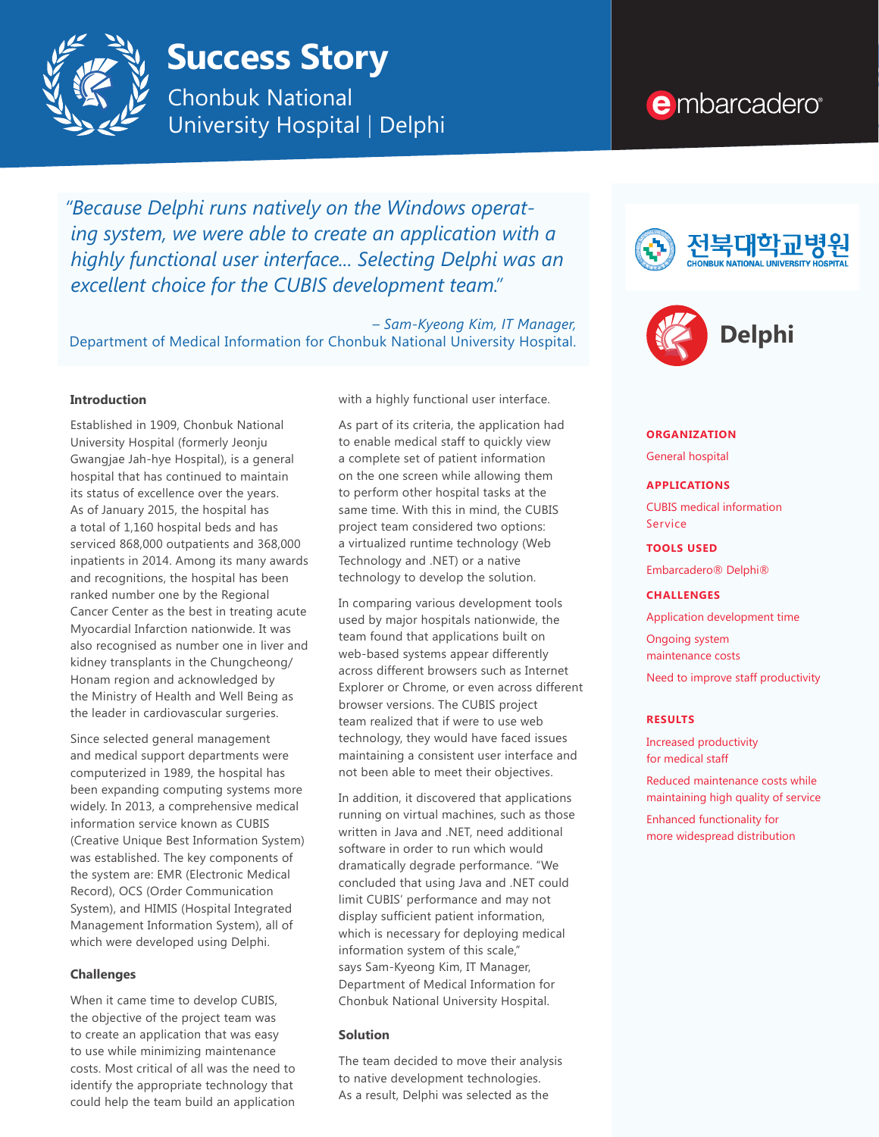

# **Success Story**

Chonbuk National University Hospital | Delphi

*"Because Delphi runs natively on the Windows operating system, we were able to create an application with a highly functional user interface... Selecting Delphi was an excellent choice for the CUBIS development team."*

– *Sam-Kyeong Kim, IT Manager,*  Department of Medical Information for Chonbuk National University Hospital.

# **Introduction**

Established in 1909, Chonbuk National University Hospital (formerly Jeonju Gwangjae Jah-hye Hospital), is a general hospital that has continued to maintain its status of excellence over the years. As of January 2015, the hospital has a total of 1,160 hospital beds and has serviced 868,000 outpatients and 368,000 inpatients in 2014. Among its many awards and recognitions, the hospital has been ranked number one by the Regional Cancer Center as the best in treating acute Myocardial Infarction nationwide. It was also recognised as number one in liver and kidney transplants in the Chungcheong/ Honam region and acknowledged by the Ministry of Health and Well Being as the leader in cardiovascular surgeries.

Since selected general management and medical support departments were computerized in 1989, the hospital has been expanding computing systems more widely. In 2013, a comprehensive medical information service known as CUBIS (Creative Unique Best Information System) was established. The key components of the system are: EMR (Electronic Medical Record), OCS (Order Communication System), and HIMIS (Hospital Integrated Management Information System), all of which were developed using Delphi.

# **Challenges**

When it came time to develop CUBIS, the objective of the project team was to create an application that was easy to use while minimizing maintenance costs. Most critical of all was the need to identify the appropriate technology that could help the team build an application

with a highly functional user interface.

As part of its criteria, the application had to enable medical staff to quickly view a complete set of patient information on the one screen while allowing them to perform other hospital tasks at the same time. With this in mind, the CUBIS project team considered two options: a virtualized runtime technology (Web Technology and .NET) or a native technology to develop the solution.

In comparing various development tools used by major hospitals nationwide, the team found that applications built on web-based systems appear differently across different browsers such as Internet Explorer or Chrome, or even across different browser versions. The CUBIS project team realized that if were to use web technology, they would have faced issues maintaining a consistent user interface and not been able to meet their objectives.

In addition, it discovered that applications running on virtual machines, such as those written in Java and .NET, need additional software in order to run which would dramatically degrade performance. "We concluded that using Java and .NET could limit CUBIS' performance and may not display sufficient patient information, which is necessary for deploying medical information system of this scale," says Sam-Kyeong Kim, IT Manager, Department of Medical Information for Chonbuk National University Hospital.

# **Solution**

The team decided to move their analysis to native development technologies. As a result, Delphi was selected as the

# e mbarcadero<sup>®</sup>





#### **ORGANIZATION**

General hospital

#### **APPLICATIONS**

CUBIS medical information Service

#### **TOOLS USED**

Embarcadero® Delphi®

#### **CHALLENGES**

Application development time

Ongoing system maintenance costs

Need to improve staff productivity

#### **RESULTS**

Increased productivity for medical staff

Reduced maintenance costs while maintaining high quality of service

Enhanced functionality for more widespread distribution